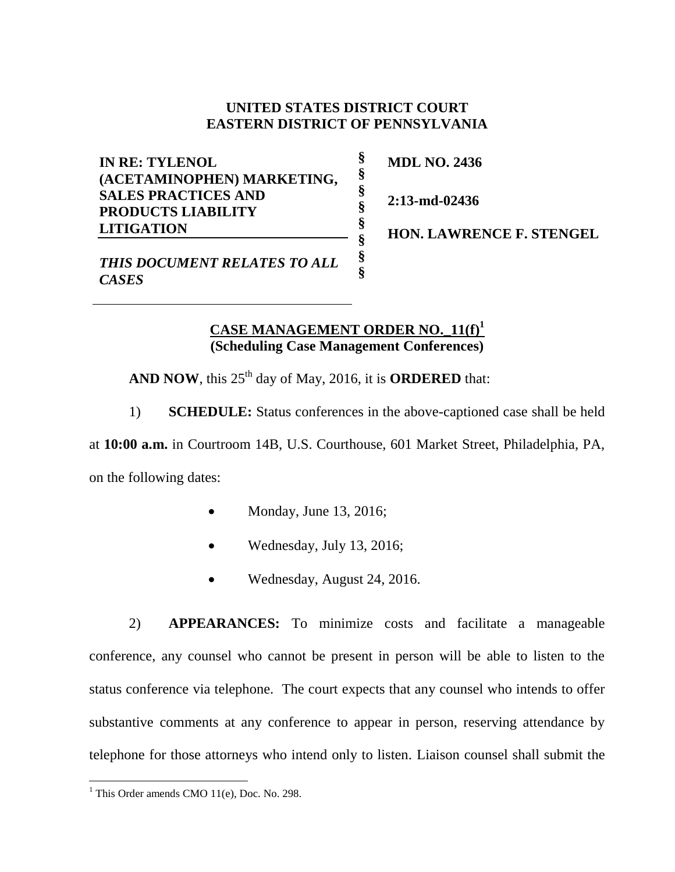## **UNITED STATES DISTRICT COURT EASTERN DISTRICT OF PENNSYLVANIA**

**§ § § § § § § §**

**IN RE: TYLENOL (ACETAMINOPHEN) MARKETING, SALES PRACTICES AND PRODUCTS LIABILITY LITIGATION**

**MDL NO. 2436**

**2:13-md-02436**

**HON. LAWRENCE F. STENGEL** 

*THIS DOCUMENT RELATES TO ALL CASES*

## **CASE MANAGEMENT ORDER NO.\_11(f) 1 (Scheduling Case Management Conferences)**

AND NOW, this  $25<sup>th</sup>$  day of May, 2016, it is **ORDERED** that:

1) **SCHEDULE:** Status conferences in the above-captioned case shall be held

at **10:00 a.m.** in Courtroom 14B, U.S. Courthouse, 601 Market Street, Philadelphia, PA, on the following dates:

- $\bullet$  Monday, June 13, 2016;
- Wednesday, July 13, 2016;
- Wednesday, August 24, 2016.

2) **APPEARANCES:** To minimize costs and facilitate a manageable conference, any counsel who cannot be present in person will be able to listen to the status conference via telephone. The court expects that any counsel who intends to offer substantive comments at any conference to appear in person, reserving attendance by telephone for those attorneys who intend only to listen. Liaison counsel shall submit the

 $\overline{a}$ 

<sup>&</sup>lt;sup>1</sup> This Order amends CMO  $11(e)$ , Doc. No. 298.